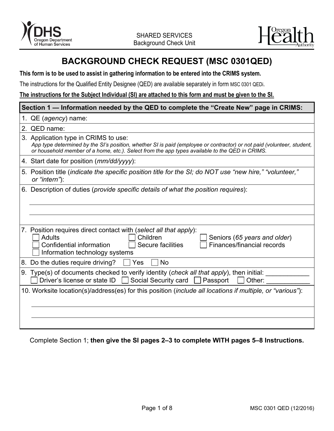



# **BACKGROUND CHECK REQUEST (MSC 0301QED)**

## **This form is to be used to assist in gathering information to be entered into the CRIMS system.**

The instructions for the Qualified Entity Designee (QED) are available separately in form [MSC 0301](https://apps.state.or.us/Forms/Served/me0301QED-inst.doc) QEDi.

## **The instructions for the Subject Individual (SI) are attached to this form and must be given to the SI.**

| Section 1 — Information needed by the QED to complete the "Create New" page in CRIMS: |                                                                                                                                                                                                                                                                  |  |  |  |  |  |
|---------------------------------------------------------------------------------------|------------------------------------------------------------------------------------------------------------------------------------------------------------------------------------------------------------------------------------------------------------------|--|--|--|--|--|
|                                                                                       | 1. QE (agency) name:                                                                                                                                                                                                                                             |  |  |  |  |  |
|                                                                                       | 2. QED name:                                                                                                                                                                                                                                                     |  |  |  |  |  |
|                                                                                       | 3. Application type in CRIMS to use:<br>App type determined by the SI's position, whether SI is paid (employee or contractor) or not paid (volunteer, student,<br>or household member of a home, etc.). Select from the app types available to the QED in CRIMS. |  |  |  |  |  |
|                                                                                       | 4. Start date for position ( <i>mm/dd/yyyy</i> ):                                                                                                                                                                                                                |  |  |  |  |  |
|                                                                                       | 5. Position title (indicate the specific position title for the SI; do NOT use "new hire," "volunteer,"<br>or "intern"):                                                                                                                                         |  |  |  |  |  |
|                                                                                       | 6. Description of duties (provide specific details of what the position requires):                                                                                                                                                                               |  |  |  |  |  |
|                                                                                       |                                                                                                                                                                                                                                                                  |  |  |  |  |  |
|                                                                                       |                                                                                                                                                                                                                                                                  |  |  |  |  |  |
|                                                                                       | 7. Position requires direct contact with (select all that apply):<br><b>Adults</b><br>Children<br>Seniors (65 years and older)<br>Finances/financial records<br>Confidential information<br>Secure facilities<br>Information technology systems                  |  |  |  |  |  |
|                                                                                       | 8. Do the duties require driving?<br>Yes<br><b>No</b>                                                                                                                                                                                                            |  |  |  |  |  |
|                                                                                       | 9. Type(s) of documents checked to verify identity (check all that apply), then initial:<br>Driver's license or state ID<br>Social Security card<br>Passport<br>Other:                                                                                           |  |  |  |  |  |
|                                                                                       | 10. Worksite location(s)/address(es) for this position (include all locations if multiple, or "various"):                                                                                                                                                        |  |  |  |  |  |
|                                                                                       |                                                                                                                                                                                                                                                                  |  |  |  |  |  |
|                                                                                       |                                                                                                                                                                                                                                                                  |  |  |  |  |  |

Complete Section 1; **then give the SI pages 2–3 to complete WITH pages 5–8 Instructions.**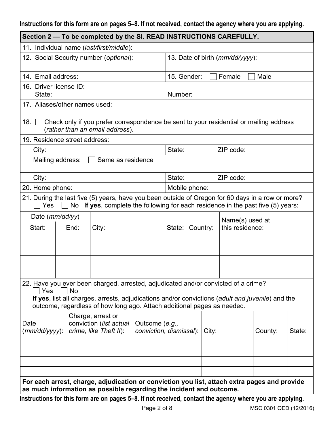# **Instructions for this form are on pages 5–8. If not received, contact the agency where you are applying.**

| Section 2 - To be completed by the SI. READ INSTRUCTIONS CAREFULLY.                                      |                                                                |                                                                                                                                                                                       |                         |                                          |          |  |                 |        |  |
|----------------------------------------------------------------------------------------------------------|----------------------------------------------------------------|---------------------------------------------------------------------------------------------------------------------------------------------------------------------------------------|-------------------------|------------------------------------------|----------|--|-----------------|--------|--|
|                                                                                                          |                                                                | 11. Individual name (last/first/middle):                                                                                                                                              |                         |                                          |          |  |                 |        |  |
| 12. Social Security number (optional):                                                                   |                                                                |                                                                                                                                                                                       |                         | 13. Date of birth ( <i>mm/dd/yyyy</i> ): |          |  |                 |        |  |
| 14. Email address:                                                                                       |                                                                |                                                                                                                                                                                       |                         | 15. Gender:<br>Female<br>Male            |          |  |                 |        |  |
| 16. Driver license ID:                                                                                   |                                                                |                                                                                                                                                                                       |                         |                                          |          |  |                 |        |  |
|                                                                                                          | State:<br>Number:                                              |                                                                                                                                                                                       |                         |                                          |          |  |                 |        |  |
| 17. Aliases/other names used:                                                                            |                                                                |                                                                                                                                                                                       |                         |                                          |          |  |                 |        |  |
| 18.                                                                                                      |                                                                | Check only if you prefer correspondence be sent to your residential or mailing address<br>(rather than an email address).                                                             |                         |                                          |          |  |                 |        |  |
| 19. Residence street address:                                                                            |                                                                |                                                                                                                                                                                       |                         |                                          |          |  |                 |        |  |
| City:                                                                                                    |                                                                |                                                                                                                                                                                       |                         | State:                                   |          |  | ZIP code:       |        |  |
| Mailing address:                                                                                         |                                                                | Same as residence                                                                                                                                                                     |                         |                                          |          |  |                 |        |  |
| City:                                                                                                    |                                                                |                                                                                                                                                                                       |                         | State:                                   |          |  | ZIP code:       |        |  |
| 20. Home phone:                                                                                          |                                                                |                                                                                                                                                                                       |                         | Mobile phone:                            |          |  |                 |        |  |
| Yes                                                                                                      |                                                                | 21. During the last five (5) years, have you been outside of Oregon for 60 days in a row or more?<br>No If yes, complete the following for each residence in the past five (5) years: |                         |                                          |          |  |                 |        |  |
| Date (mm/dd/yy)                                                                                          |                                                                |                                                                                                                                                                                       |                         |                                          |          |  | Name(s) used at |        |  |
| Start:                                                                                                   | End:                                                           | City:                                                                                                                                                                                 |                         | State:                                   | Country: |  | this residence: |        |  |
|                                                                                                          |                                                                |                                                                                                                                                                                       |                         |                                          |          |  |                 |        |  |
|                                                                                                          |                                                                |                                                                                                                                                                                       |                         |                                          |          |  |                 |        |  |
|                                                                                                          |                                                                |                                                                                                                                                                                       |                         |                                          |          |  |                 |        |  |
|                                                                                                          |                                                                |                                                                                                                                                                                       |                         |                                          |          |  |                 |        |  |
| Yes                                                                                                      | No                                                             | 22. Have you ever been charged, arrested, adjudicated and/or convicted of a crime?                                                                                                    |                         |                                          |          |  |                 |        |  |
|                                                                                                          |                                                                | If yes, list all charges, arrests, adjudications and/or convictions (adult and juvenile) and the<br>outcome, regardless of how long ago. Attach additional pages as needed.           |                         |                                          |          |  |                 |        |  |
| Date                                                                                                     | Charge, arrest or<br>conviction (list actual<br>Outcome (e.g., |                                                                                                                                                                                       |                         |                                          |          |  |                 |        |  |
| $(mm/dd/yyyy)$ :                                                                                         | crime, like Theft II):                                         |                                                                                                                                                                                       | conviction, dismissal): |                                          | City:    |  | County:         | State: |  |
|                                                                                                          |                                                                |                                                                                                                                                                                       |                         |                                          |          |  |                 |        |  |
|                                                                                                          |                                                                |                                                                                                                                                                                       |                         |                                          |          |  |                 |        |  |
|                                                                                                          |                                                                |                                                                                                                                                                                       |                         |                                          |          |  |                 |        |  |
|                                                                                                          |                                                                |                                                                                                                                                                                       |                         |                                          |          |  |                 |        |  |
|                                                                                                          |                                                                | For each arrest, charge, adjudication or conviction you list, attach extra pages and provide<br>as much information as possible regarding the incident and outcome.                   |                         |                                          |          |  |                 |        |  |
| Instructions for this form are on pages 5-8. If not received, contact the agency where you are applying. |                                                                |                                                                                                                                                                                       |                         |                                          |          |  |                 |        |  |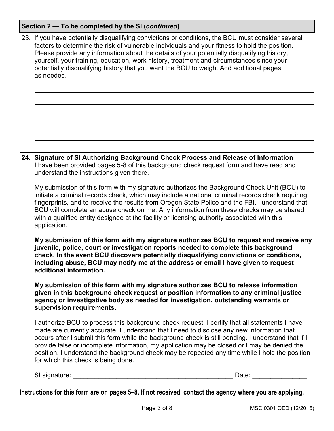| 23. If you have potentially disqualifying convictions or conditions, the BCU must consider several<br>factors to determine the risk of vulnerable individuals and your fitness to hold the position.<br>Please provide any information about the details of your potentially disqualifying history,<br>yourself, your training, education, work history, treatment and circumstances since your<br>potentially disqualifying history that you want the BCU to weigh. Add additional pages<br>as needed.                                      |  |  |  |  |  |
|----------------------------------------------------------------------------------------------------------------------------------------------------------------------------------------------------------------------------------------------------------------------------------------------------------------------------------------------------------------------------------------------------------------------------------------------------------------------------------------------------------------------------------------------|--|--|--|--|--|
|                                                                                                                                                                                                                                                                                                                                                                                                                                                                                                                                              |  |  |  |  |  |
|                                                                                                                                                                                                                                                                                                                                                                                                                                                                                                                                              |  |  |  |  |  |
|                                                                                                                                                                                                                                                                                                                                                                                                                                                                                                                                              |  |  |  |  |  |
|                                                                                                                                                                                                                                                                                                                                                                                                                                                                                                                                              |  |  |  |  |  |
|                                                                                                                                                                                                                                                                                                                                                                                                                                                                                                                                              |  |  |  |  |  |
| 24. Signature of SI Authorizing Background Check Process and Release of Information<br>I have been provided pages 5-8 of this background check request form and have read and<br>understand the instructions given there.                                                                                                                                                                                                                                                                                                                    |  |  |  |  |  |
| My submission of this form with my signature authorizes the Background Check Unit (BCU) to<br>initiate a criminal records check, which may include a national criminal records check requiring<br>fingerprints, and to receive the results from Oregon State Police and the FBI. I understand that<br>BCU will complete an abuse check on me. Any information from these checks may be shared<br>with a qualified entity designee at the facility or licensing authority associated with this<br>application.                                |  |  |  |  |  |
| My submission of this form with my signature authorizes BCU to request and receive any<br>juvenile, police, court or investigation reports needed to complete this background<br>check. In the event BCU discovers potentially disqualifying convictions or conditions,<br>including abuse, BCU may notify me at the address or email I have given to request<br>additional information.                                                                                                                                                     |  |  |  |  |  |
| My submission of this form with my signature authorizes BCU to release information<br>given in this background check request or position information to any criminal justice<br>agency or investigative body as needed for investigation, outstanding warrants or<br>supervision requirements.                                                                                                                                                                                                                                               |  |  |  |  |  |
| I authorize BCU to process this background check request. I certify that all statements I have<br>made are currently accurate. I understand that I need to disclose any new information that<br>occurs after I submit this form while the background check is still pending. I understand that if I<br>provide false or incomplete information, my application may be closed or I may be denied the<br>position. I understand the background check may be repeated any time while I hold the position<br>for which this check is being done. |  |  |  |  |  |

SI signature: \_\_\_\_\_\_\_\_\_\_\_\_\_\_\_\_\_\_\_\_\_\_\_\_\_\_\_\_\_\_\_\_\_\_\_\_\_\_\_\_\_\_\_\_ Date: \_\_\_\_\_\_\_\_\_\_\_\_\_\_\_

**Instructions for this form are on pages 5–8. If not received, contact the agency where you are applying.**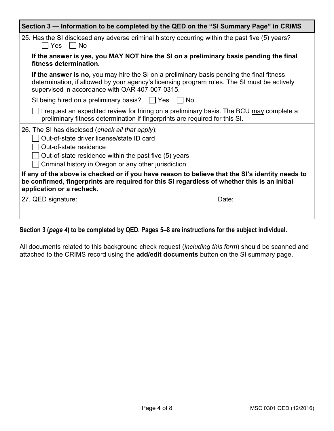| Section 3 - Information to be completed by the QED on the "SI Summary Page" in CRIMS                                                                                                                                                        |       |  |  |  |  |
|---------------------------------------------------------------------------------------------------------------------------------------------------------------------------------------------------------------------------------------------|-------|--|--|--|--|
| 25. Has the SI disclosed any adverse criminal history occurring within the past five (5) years?<br>  Yes     No                                                                                                                             |       |  |  |  |  |
| If the answer is yes, you MAY NOT hire the SI on a preliminary basis pending the final<br>fitness determination.                                                                                                                            |       |  |  |  |  |
| If the answer is no, you may hire the SI on a preliminary basis pending the final fitness<br>determination, if allowed by your agency's licensing program rules. The SI must be actively<br>supervised in accordance with OAR 407-007-0315. |       |  |  |  |  |
| SI being hired on a preliminary basis? $\Box$ Yes<br>No.                                                                                                                                                                                    |       |  |  |  |  |
| I request an expedited review for hiring on a preliminary basis. The BCU may complete a<br>preliminary fitness determination if fingerprints are required for this SI.                                                                      |       |  |  |  |  |
| 26. The SI has disclosed (check all that apply):<br>Out-of-state driver license/state ID card<br>Out-of-state residence<br>Out-of-state residence within the past five (5) years<br>Criminal history in Oregon or any other jurisdiction    |       |  |  |  |  |
| If any of the above is checked or if you have reason to believe that the SI's identity needs to<br>be confirmed, fingerprints are required for this SI regardless of whether this is an initial<br>application or a recheck.                |       |  |  |  |  |
| 27. QED signature:                                                                                                                                                                                                                          | Date: |  |  |  |  |

# **Section 3 (***page 4***) to be completed by QED. Pages 5–8 are instructions for the subject individual.**

All documents related to this background check request (*including this form*) should be scanned and attached to the CRIMS record using the **add/edit documents** button on the SI summary page.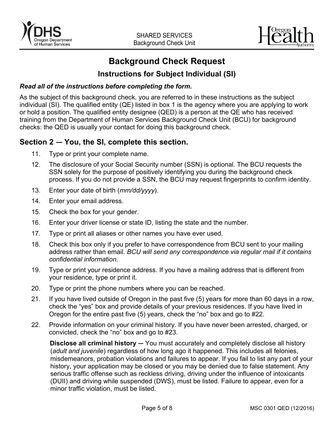



# **Background Check Request**

# **Instructions for Subject Individual (SI)**

## *Read all of the instructions before completing the form.*

As the subject of this background check, you are referred to in these instructions as the subject individual (SI). The qualified entity (QE) listed in box 1 is the agency where you are applying to work or hold a position. The qualified entity designee (QED) is a person at the QE who has received training from the Department of Human Services Background Check Unit (BCU) for background checks: the QED is usually your contact for doing this background check.

## **Section 2 — You, the SI, complete this section.**

- 11. Type or print your complete name.
- 12. The disclosure of your Social Security number (SSN) is optional. The BCU requests the SSN solely for the purpose of positively identifying you during the background check process. If you do not provide a SSN, the BCU may request fingerprints to confirm identity.
- 13. Enter your date of birth (*mm/dd/yyyy*).
- 14. Enter your email address.
- 15. Check the box for your gender.
- 16. Enter your driver license or state ID, listing the state and the number.
- 17. Type or print all aliases or other names you have ever used.
- 18. Check this box only if you prefer to have correspondence from BCU sent to your mailing address rather than email. *BCU will send any correspondence via regular mail if it contains confidential information.*
- 19. Type or print your residence address. If you have a mailing address that is different from your residence, type or print it.
- 20. Type or print the phone numbers where you can be reached.
- 21. If you have lived outside of Oregon in the past five (5) years for more than 60 days in a row, check the "yes" box and provide details of your previous residences. If you have lived in Oregon for the entire past five (5) years, check the "no" box and go to #22.
- 22. Provide information on your criminal history. If you have never been arrested, charged, or convicted, check the "no" box and go to #23.

**Disclose all criminal history —** You must accurately and completely disclose all history (*adult and juvenile*) regardless of how long ago it happened. This includes all felonies, misdemeanors, probation violations and failures to appear. If you fail to list any part of your history, your application may be closed or you may be denied due to false statement. Any serious traffic offense such as reckless driving, driving under the influence of intoxicants (DUII) and driving while suspended (DWS), must be listed. Failure to appear, even for a minor traffic violation, must be listed.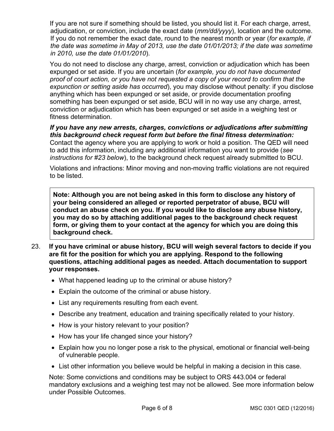If you are not sure if something should be listed, you should list it. For each charge, arrest, adjudication, or conviction, include the exact date (*mm/dd/yyyy*), location and the outcome. If you do not remember the exact date, round to the nearest month or year (*for example, if the date was sometime in May of 2013, use the date 01/01/2013; if the date was sometime in 2010, use the date 01/01/2010*).

You do not need to disclose any charge, arrest, conviction or adjudication which has been expunged or set aside. If you are uncertain (*for example, you do not have documented proof of court action, or you have not requested a copy of your record to confirm that the expunction or setting aside has occurred*), you may disclose without penalty: if you disclose anything which has been expunged or set aside, or provide documentation proofing something has been expunged or set aside, BCU will in no way use any charge, arrest, conviction or adjudication which has been expunged or set aside in a weighing test or fitness determination.

*If you have any new arrests, charges, convictions or adjudications after submitting this background check request form but before the final fitness determination:* Contact the agency where you are applying to work or hold a position. The QED will need to add this information, including any additional information you want to provide (*see instructions for #23 below*), to the background check request already submitted to BCU.

Violations and infractions: Minor moving and non-moving traffic violations are not required to be listed.

**Note: Although you are not being asked in this form to disclose any history of your being considered an alleged or reported perpetrator of abuse, BCU will conduct an abuse check on you. If you would like to disclose any abuse history, you may do so by attaching additional pages to the background check request form, or giving them to your contact at the agency for which you are doing this background check.**

- 23. **If you have criminal or abuse history, BCU will weigh several factors to decide if you are fit for the position for which you are applying. Respond to the following questions, attaching additional pages as needed. Attach documentation to support your responses.** 
	- What happened leading up to the criminal or abuse history?
	- Explain the outcome of the criminal or abuse history.
	- List any requirements resulting from each event.
	- Describe any treatment, education and training specifically related to your history.
	- How is your history relevant to your position?
	- How has your life changed since your history?
	- Explain how you no longer pose a risk to the physical, emotional or financial well-being of vulnerable people.
	- List other information you believe would be helpful in making a decision in this case.

Note: Some convictions and conditions may be subject to ORS 443.004 or federal mandatory exclusions and a weighing test may not be allowed. See more information below under Possible Outcomes.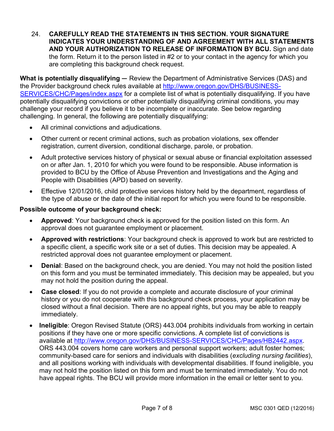24. **CAREFULLY READ THE STATEMENTS IN THIS SECTION. YOUR SIGNATURE INDICATES YOUR UNDERSTANDING OF AND AGREEMENT WITH ALL STATEMENTS AND YOUR AUTHORIZATION TO RELEASE OF INFORMATION BY BCU.** Sign and date the form. Return it to the person listed in #2 or to your contact in the agency for which you are completing this background check request.

**What is potentially disqualifying —** Review the Department of Administrative Services (DAS) and the Provider background check rules available at [http://www.oregon.gov/DHS/BUSINESS-](http://www.oregon.gov/DHS/BUSINESS-SERVICES/CHC/Pages/index.aspx)[SERVICES/CHC/Pages/index.aspx](http://www.oregon.gov/DHS/BUSINESS-SERVICES/CHC/Pages/index.aspx) for a complete list of what is potentially disqualifying. If you have potentially disqualifying convictions or other potentially disqualifying criminal conditions, you may challenge your record if you believe it to be incomplete or inaccurate. See below regarding challenging. In general, the following are potentially disqualifying:

- All criminal convictions and adjudications.
- Other current or recent criminal actions, such as probation violations, sex offender registration, current diversion, conditional discharge, parole, or probation.
- Adult protective services history of physical or sexual abuse or financial exploitation assessed on or after Jan. 1, 2010 for which you were found to be responsible. Abuse information is provided to BCU by the Office of Abuse Prevention and Investigations and the Aging and People with Disabilities (APD) based on severity.
- Effective 12/01/2016, child protective services history held by the department, regardless of the type of abuse or the date of the initial report for which you were found to be responsible.

## **Possible outcome of your background check:**

- **Approved**: Your background check is approved for the position listed on this form. An approval does not guarantee employment or placement.
- **Approved with restrictions**: Your background check is approved to work but are restricted to a specific client, a specific work site or a set of duties. This decision may be appealed. A restricted approval does not guarantee employment or placement.
- **Denial**: Based on the background check, you are denied. You may not hold the position listed on this form and you must be terminated immediately. This decision may be appealed, but you may not hold the position during the appeal.
- **Case closed**: If you do not provide a complete and accurate disclosure of your criminal history or you do not cooperate with this background check process, your application may be closed without a final decision. There are no appeal rights, but you may be able to reapply immediately.
- **Ineligible**: Oregon Revised Statute (ORS) 443.004 prohibits individuals from working in certain positions if they have one or more specific convictions. A complete list of convictions is available at [http://www.oregon.gov/DHS/BUSINESS-SERVICES/CHC/Pages/HB2442.aspx.](http://www.oregon.gov/DHS/BUSINESS-SERVICES/CHC/Pages/HB2442.aspx) ORS 443.004 covers home care workers and personal support workers; adult foster homes; community-based care for seniors and individuals with disabilities (*excluding nursing facilities*), and all positions working with individuals with developmental disabilities. If found ineligible, you may not hold the position listed on this form and must be terminated immediately. You do not have appeal rights. The BCU will provide more information in the email or letter sent to you.